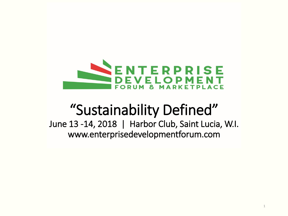

# "Sustainability Defined"

June 13 -14, 2018 | Harbor Club, Saint Lucia, W.I. www.enterprisedevelopmentforum.com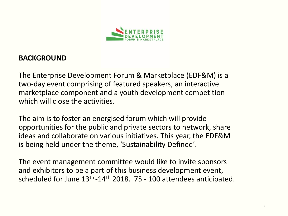

### **BACKGROUND**

The Enterprise Development Forum & Marketplace (EDF&M) is a two-day event comprising of featured speakers, an interactive marketplace component and a youth development competition which will close the activities.

The aim is to foster an energised forum which will provide opportunities for the public and private sectors to network, share ideas and collaborate on various initiatives. This year, the EDF&M is being held under the theme, 'Sustainability Defined'.

The event management committee would like to invite sponsors and exhibitors to be a part of this business development event, scheduled for June 13<sup>th</sup> -14<sup>th</sup> 2018. 75 - 100 attendees anticipated.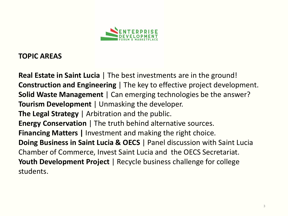

### **TOPIC AREAS**

**Real Estate in Saint Lucia** | The best investments are in the ground! **Construction and Engineering** | The key to effective project development. **Solid Waste Management** | Can emerging technologies be the answer? **Tourism Development** | Unmasking the developer. **The Legal Strategy** | Arbitration and the public. **Energy Conservation** | The truth behind alternative sources. **Financing Matters |** Investment and making the right choice. **Doing Business in Saint Lucia & OECS** | Panel discussion with Saint Lucia Chamber of Commerce, Invest Saint Lucia and the OECS Secretariat. **Youth Development Project** | Recycle business challenge for college students.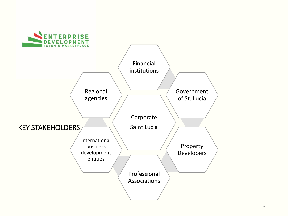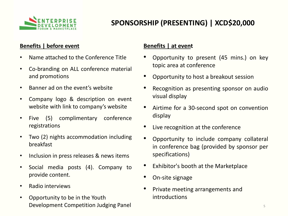

## **SPONSORSHIP (PRESENTING) | XCD\$20,000**

#### **Benefits | before event**

- Name attached to the Conference Title
- Co-branding on ALL conference material and promotions
- Banner ad on the event's website
- Company logo & description on event website with link to company's website
- Five (5) complimentary conference registrations
- Two (2) nights accommodation including breakfast
- Inclusion in press releases & news items
- Social media posts (4). Company to provide content.
- Radio interviews
- Opportunity to be in the Youth Development Competition Judging Panel

- Opportunity to present (45 mins.) on key topic area at conference
- Opportunity to host a breakout session
- Recognition as presenting sponsor on audio visual display
- Airtime for a 30-second spot on convention display
- Live recognition at the conference
- Opportunity to include company collateral in conference bag (provided by sponsor per specifications)
- Exhibitor's booth at the Marketplace
- On-site signage
- Private meeting arrangements and introductions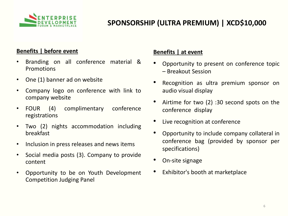

## **SPONSORSHIP (ULTRA PREMIUM) | XCD\$10,000**

#### **Benefits | before event**

- Branding on all conference material & Promotions
- One (1) banner ad on website
- Company logo on conference with link to company website
- FOUR (4) complimentary conference registrations
- Two (2) nights accommodation including breakfast
- Inclusion in press releases and news items
- Social media posts (3). Company to provide content
- Opportunity to be on Youth Development Competition Judging Panel

- Opportunity to present on conference topic – Breakout Session
- Recognition as ultra premium sponsor on audio visual display
- Airtime for two (2) :30 second spots on the conference display
- Live recognition at conference
- Opportunity to include company collateral in conference bag (provided by sponsor per specifications)
- On-site signage
- Exhibitor's booth at marketplace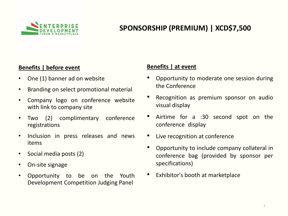

## **SPONSORSHIP (PREMIUM) | XCD\$7,500**

#### **Benefits | before event**

- One (1) banner ad on website
- Branding on select promotional material
- Company logo on conference website with link to company site
- Two (2) complimentary conference registrations
- Inclusion in press releases and news items
- Social media posts (2)
- On-site signage
- Opportunity to be on the Youth Development Competition Judging Panel

- Opportunity to moderate one session during the Conference
- Recognition as premium sponsor on audio visual display
- Airtime for a :30 second spot on the conference display
- Live recognition at conference
- Opportunity to include company collateral in conference bag (provided by sponsor per specifications)
- Exhibitor's booth at marketplace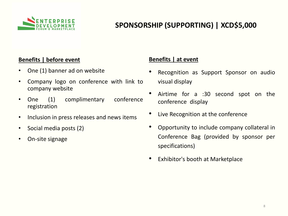

## **SPONSORSHIP (SUPPORTING) | XCD\$5,000**

#### **Benefits | before event**

- One (1) banner ad on website
- Company logo on conference with link to company website
- One (1) complimentary conference registration
- Inclusion in press releases and news items
- Social media posts (2)
- On-site signage

- Recognition as Support Sponsor on audio visual display
- Airtime for a :30 second spot on the conference display
- Live Recognition at the conference
- Opportunity to include company collateral in Conference Bag (provided by sponsor per specifications)
- Exhibitor's booth at Marketplace